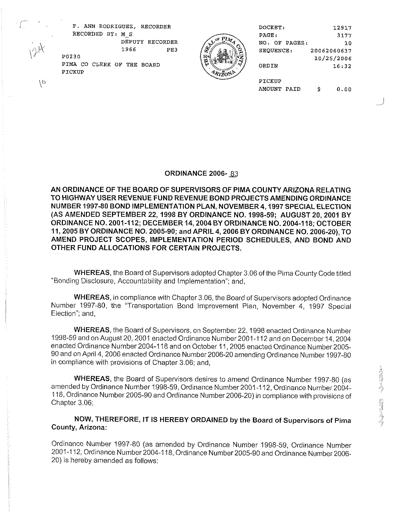

|   | F. ANN RODRIGUEZ, RECORDER           |               | DOCKET:       | 12917       |
|---|--------------------------------------|---------------|---------------|-------------|
|   | RECORDED BY: M S                     |               | PAGE:         | 3177        |
|   | DEPUTY<br>RECORDER                   | ™ LA≉<br>tw.  | NO. OF PAGES: | 10          |
|   | 1966<br>PE3                          |               | SEQUENCE:     | 20062060637 |
|   | P0230                                | Þі            |               | 10/25/2006  |
|   | PIMA CO CLERK OF THE BOARD<br>PICKUP | ೦<br>فالمتمشر | ORDIN         | 16:32       |
| € |                                      |               | PICKUP        |             |
|   |                                      |               | AMOUNT PAID   | 0.00<br>s   |

# ORDINANCE **2006-** *83*

AN ORDINANCE OF THE BOARD OF SUPERVISORS OF PlMA COUNTY ARIZONA RELATING TO HIGHWAY USER REVENUE FUND REVENUE BOND PROJECTS AMENDING ORDINANCE NUMBER **1997-80** BOND IMPLEMENTATION PLAN. NOVEMBER **4.1997** SPECIAL ELECTION (AS AMENDED SEPTEMBER **22,1998** BY ORDINANCE NO. **1998:59;** AUGUST **20,2001** BY ORDINANCE NO. **2001-112;** DECEMBER **14,2004** BY ORDINANCE NO. **2004-1 18;** OCTOBER **11,2005** BY ORDINANCE NO. **2005-90;** and APRIL **4,2006** BY ORDINANCE NO. **2006-20.),** TO AMEND PROJECT SCOPES, IMPLEMENTATION PERIOD SCHEDULES, AND BOND AND OTHER FUND ALLOCATIONS FOR CERTAIN PROJECTS.

WHEREAS, the Board of Supervisors adopted Chapter 3.06 of the Pima County Code titled "Bonding Disclosure, Accountability and Implementation"; and,

WHEREAS, in compliance with Chapter 3.06, the Board of Supervisors adopted Ordinance Number 1997-80, the "Transportation Bond Improvement Plan, November 4, 1997 Special Election"; and,

WHEREAS, the Board of Supervisors, on September 22, 1998 enacted Ordinance Number 1998-59 and on August 20,2001 enacted Ordinance Number2001-112 and on December 14,2004 enacted Ordinance Number 2004-1 18 and on October 11,2005 enacted Ordinance Number 2005- 90 and on April 4,2006 enacted Ordinance Number2006-20 amending Ordinance Number 1997-80 in compliance with provisions of Chapter 3.06; and,

WHEREAS, the Board of Supervisors desires to amend Ordinance Number 1997-80 (as amended by Ordinance Number 1998-59, Ordinance Number 2001 -1 12, Ordinance Number 2004- 118, Ordinance Number 2005-90 and Ordinance Number 2006-20) in compliance with provisions of Chapter 3.06;

NOW, THEREFORE, IT IS HEREBY ORDAINED by the Board of Supervisors of Pirna County, Arizona:

Ordinance Number 1997-80 (as amended by Ordinance Number 1998-59, Ordinance Number 2001-1 12, Ordinance Number 2004-1 18, Ordinance Number 2005-90 and Ordinance Number 2006- 20) is hereby amended as follows: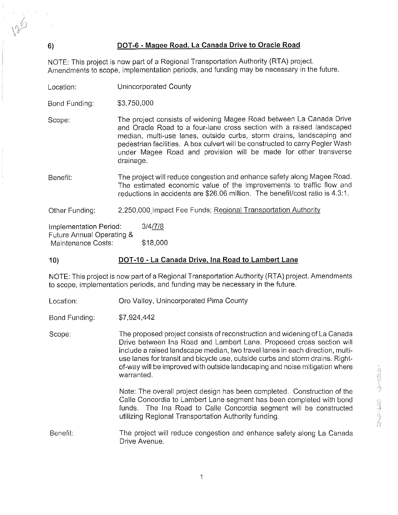# **6) DOT-6** - **Maqee Road, La Canada Drive to Oracle Road**

NOTE: This project is now part of a Regional Transportation Authority (RTA) project. Amendments to scope, implementation periods, and funding may be necessary in the future.

Location: Unincorporated County

Bond Funding: \$3,750,000

Scope: The project consists of widening Magee Road between La Canada Drive and Oracle Road to a four-lane cross section with a raised landscaped median, multi-use lanes, outside curbs, storm drains, landscaping and pedestrian facilities. A box culvert will be constructed to carry Pegler Wash under Magee Road and provision will be made for other transverse drainage.

Benefit: The project will reduce congestion and enhance saiety along Magee Road. The estimated economic value of the improvements to traffic flow and reductions in accidents are \$26.06 million. The benefit/cost ratio is 4.3:1.

Other Funding: 2,250,000 Impact Fee Funds; Regional Transportation Authority

Implementation Period: 3/4/7/8 Future Annual Operating & Maintenance Costs: \$18,000

# **10) DOT-10** - **La Canada Drive. Ina Road to Larnbert Lane**

NOTE: This project is now part of a Regional Transportation Authority (RTA) project. Amendments to scope, implementation periods, and funding may be necessary in the future.

Location: Oro Valley, Unincorporated Pima County

Bond Funding: \$7,924,442

Scope: The proposed project consists of reconstruction and widening of La Canada Drive between lna Road and Lambert Lane. Proposed cross section will include a raised landscape median, two travel lanes in each direction, multiuse lanes for transit and bicycle use, outside curbs and storm drains. Rightof-way will be improved with outside landscaping and noise mitigation where warranted. We also also a set of  $\tilde{\mathbb{Q}}$  , where  $\tilde{\mathbb{Q}}$ 

> Note: The overall project design has been completed. Construction of the Calle Concordia to Lambert Lane segment has been completed with bond funds. The Ina Road to Calle Concordia segment will be constructed utilizing Regional Transportation Authority funding.

Benefit: The project will reduce congestion and enhance safety along La Canada Drive Avenue.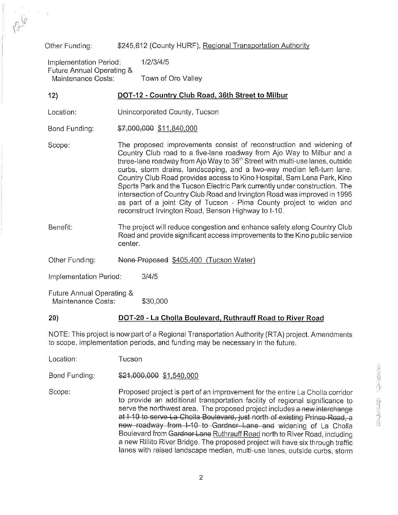# Other Funding: \$245,612 (County HURF), Regional Transportation Authority

Implementation Period: 1/2/3/4/5 Future Annual Operating & Town of Oro Valley

# **12) DOT-12** - **Countw Club Road, 36th Street to Milbur**

- Location: Unincorporated County, Tucson
- Bond Funding: \$7,000,000 \$11,840,000

Scope: The proposed improvements consist of reconstruction and widening of Country Club road to a five-lane roadway from Ajo Way to Milbur and a three-lane roadway from Ajo Way to 36'h Street with multi-use lanes, outside curbs, storm drains, landscaping, and a two-way median left-turn lane. Country Club Road provides access to Kino Hospital, Sam Lena Park, Kino Sports Park and the Tucson Electric Park currently under construction. The intersection of Country Club Road and lrvington Road was improved in 1996 as part of a joint City of Tucson - Pima County project to widen and reconstruct lrvington Road, Benson Highway to 1-10.

- Benefit: The project will reduce congestion and enhance safety along Country Club Road and provide significant access improvements to the Kino public service center.
- Other Funding: None-Proposed \$405,400 (Tucson Water)

Implementation Period: 3/4/5

Future Annual Operating & Maintenance Costs: \$30,000

## **20) DOT-20** - La **Cholla Boulevard. Ruthrauff Road to River Road**

NOTE: This project is now part of a Regional Transportation Authority (RTA) project. Amendments to scope, implementation periods, and funding may be necessary in the future.

Location: Tucson

Bond Funding: \$21,000,000 \$1,540,000

\$21,000,000 \$1,540,000<br>Proposed project is part of an improvement for the entire La Cholla corridor<br>to provide an additional transportation facility of regional significance to<br>serve the northwest area. The proposed proje Scope: Proposed project is part of an improvement for the entire La Cholla corridor serve the northwest area. The proposed project includes a new interchange at I-10 to serve La Cholla Boulevard, just north of existing Prince Road, a new roadway from 1-10 to Gardner Lane and widening of La Cholla Boulevard from Gardner Lane Ruthrauff Road north to River Road, including a new Rillito River Bridge. The proposed project will have six through traffic lanes with raised landscape median, multi-use lanes, outside curbs, storm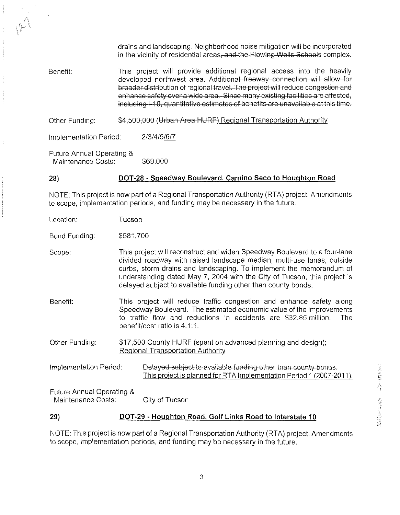drains and landscaping. Neighborhood noise mitigation will be incorporated in the vicinity of residential areas-and the Flowing Wells Schools complex.

Benefit: This project will provide additional regional access into the heavily developed northwest area. Additional freeway connection will allow for broader distribution of regional travel. The project will reduce congestion and enhance safety over a wide area. Since many existing facilities are affected, including 1-10, quantitative estimates of benefits are unavailable at this time.

Other Funding: \$4,500,000 (Urban Area HURF) Regional Transportation Authority

Implementation Period: 213/415/6/7

Future Annual Operating & Maintenance Costs: \$69,000

#### **28) DOT-28 - Speedway Boulevard, Camino Seco to Houghton Road**

NOTE: This project is now part of a Regional Transportation Authority (RTA) project. Amendments to scope, implementation periods, and funding may be necessary in the future.

Location: Tucson

Bond Funding: \$581,700

Scope: This project will reconstruct and widen Speedway Boulevard to a four-lane divided roadway with raised landscape median, multi-use lanes, outside curbs, storm drains and landscaping. To implement the memorandum of understanding dated May 7, 2004 with the City of Tucson, this project is delayed subject to available funding other than county bonds.

Benefit: This project will reduce traffic congestion and enhance safety along Speedway Boulevard. The estimated economic value of the improvements to traffic flow and reductions in accidents are \$32.85 million. The benefit/cost ratio is 4.1:1.

Other Funding: \$17,500 County HURF (spent on advanced planning and design); Reaional Transportation Authority

Delayed subject to available funding other than county bonds. Implementation Period: This project is planned for RTA Implementation Period 1 (2007-2011).

Future Annual Operating & Maintenance Costs: City of Tucson

# **29) DOT-29** - Houahton Road, Golf Links Road to Interstate 10

NOTE: This project is now part of a Regional Transportation Authority (RTA) project. Amendments to scope, implementation periods, and funding may be necessary in the future.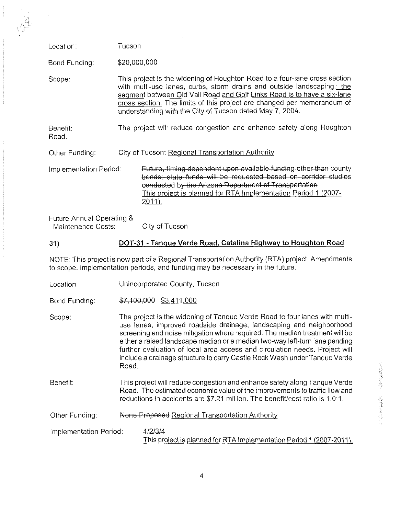| Location:                                       | Tucson                                                                                                                                                                                                                                                                                                                                                                  |  |
|-------------------------------------------------|-------------------------------------------------------------------------------------------------------------------------------------------------------------------------------------------------------------------------------------------------------------------------------------------------------------------------------------------------------------------------|--|
| Bond Funding:                                   | \$20,000,000                                                                                                                                                                                                                                                                                                                                                            |  |
| Scope:                                          | This project is the widening of Houghton Road to a four-lane cross section<br>with multi-use lanes, curbs, storm drains and outside landscaping-; the<br>segment between Old Vail Road and Golf Links Road is to have a six-lane<br>cross section. The limits of this project are changed per memorandum of<br>understanding with the City of Tucson dated May 7, 2004. |  |
| Benefit:<br>Road.                               | The project will reduce congestion and enhance safety along Houghton                                                                                                                                                                                                                                                                                                    |  |
| Other Funding:                                  | City of Tucson; Regional Transportation Authority                                                                                                                                                                                                                                                                                                                       |  |
| Implementation Period:                          | Future, timing dependent upon available funding other than county<br>bonds; state funds will be requested based on corridor studies<br>conducted by the Arizona Department of Transportation<br>This project is planned for RTA Implementation Period 1 (2007-<br>$2011$ ).                                                                                             |  |
| Future Annual Operating &<br>Maintenance Costs: | City of Tucson                                                                                                                                                                                                                                                                                                                                                          |  |
|                                                 |                                                                                                                                                                                                                                                                                                                                                                         |  |
| 31)                                             | DOT-31 - Tanque Verde Road, Catalina Highway to Houghton Road                                                                                                                                                                                                                                                                                                           |  |

NOTE: This project is now part of a Regional Transportation Authority (RTA) project. Amendments to scope, implementation periods, and funding may be necessary in the future.

- Location: Unincorporated County, Tucson
- Bond Funding: \$7,100,000 \$3,411,000
- Scope: The project is the widening of Tanque Verde Road to four lanes with multiuse lanes, improved roadside drainage, landscaping and neighborhood screening and noise mitigation where required. The median treatment will be either a raised landscape median or a median two-way left-turn lane pending further evaluation of local area access and circulation needs. Project will include a drainage structure to carry Castle Rock Wash under Tanque Verde  $\mathsf{ Road.} \hspace{2em} \begin{picture}(10,10) \put(0,0){\vector(1,0){10}} \put(1,0){\vector(1,0){10}} \put(1,0){\vector(1,0){10}} \put(1,0){\vector(1,0){10}} \put(1,0){\vector(1,0){10}} \put(1,0){\vector(1,0){10}} \put(1,0){\vector(1,0){10}} \put(1,0){\vector(1,0){10}} \put(1,0){\vector(1,0){10}} \put(1,0){\vector(1,0){10}} \put(1,0){\vector(1,0){10}} \put(1,0){\$
- Benefit: This project will reduce congestion and enhance safety along Tanque Verde Road. The estimated economic value of the improvements to traffic flow and Frame Project will reduce congestion and enhance safety along Tanque Verde<br>
Road. The estimated economic value of the improvements to traffic flow and<br>
reductions in accidents are \$7.21 million. The benefit/cost ratio is 1
- Other Funding: None-Proposed Regional Transportation Authority
- Implementation Period: 4/2/3/4 This project is planned for RTA Implementation Period 1 (2007-2011).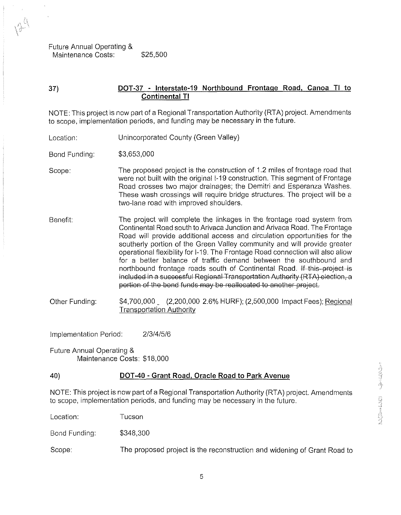Future Annual Operating & Maintenance Costs: \$25,500

# **37) DOT-37 - Interstate-19 Northbound Frontage Road. Canoa TI to Continental TI**

NOTE: This project is now part of a Regional Transportation Authority (RTA) project. Amendments to scope, implementation periods, and funding may be necessary in the future.

Location: Unincorporated County (Green Valley)

Bond Funding: \$3,653,000

- Scope: The proposed project is the construction of 1.2 miles of frontage road that were not built with the original 1-19 construction. This segment of Frontage Road crosses two major drainages; the Demitri and Esperanza Washes. These wash crossings will require bridge structures. The project will be a two-lane road with improved shoulders.
- Benefit: The project will complete the linkages in the frontage road system from Continental Road south to Arivaca Junction and Arivaca Road. The Frontage Road will provide additional access and circulation opportunities for the southerly portion of the Green Valley community and will provide greater operational flexibility for 1-19. The Frontage Road connection will also allow for a better balance of traffic demand between the southbound and northbound frontage roads south of Continental Road. If this-project is included in a successful Regional Transportation Authority (RTA) election, a portion of the bond funds may be reallocated to another project.
- Other Funding: \$4,700,000 (2,200,000 2.6% HURF); (2,500,000 Impact Fees); Reqional Transportation Authority

Implementation Period: 2/3/4/5/6

Future Annual Operating & Maintenance Costs: \$18,000

# **40) DOT-40** - **Grant Road. Oracle Road to Park Avenue**

NOTE: This project is now part of a Regional Transportation Authority (RTA) project. Amendments to scope, implementation periods, and funding may be necessary in the future.<br>
Location: Tucson<br>
Location: Tucson

Location: Tucson

Bond Funding: \$348,300

Scope: The proposed project is the reconstruction and widening of Grant Road to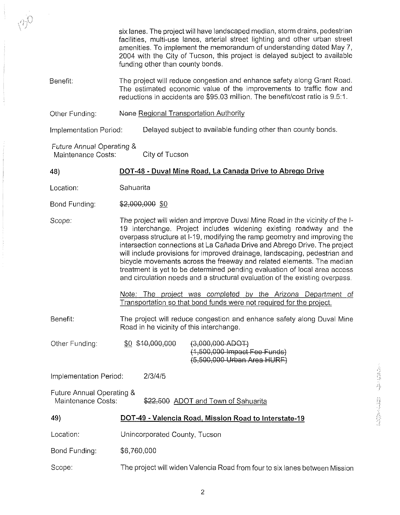|                                                                                        | six lanes. The project will have landscaped median, storm drains, pedestrian<br>facilities, multi-use lanes, arterial street lighting and other urban street<br>amenities. To implement the memorandum of understanding dated May 7,<br>2004 with the City of Tucson, this project is delayed subject to available<br>funding other than county bonds.                                                                                                                                                                                                                                                                                                                                          |  |  |  |  |
|----------------------------------------------------------------------------------------|-------------------------------------------------------------------------------------------------------------------------------------------------------------------------------------------------------------------------------------------------------------------------------------------------------------------------------------------------------------------------------------------------------------------------------------------------------------------------------------------------------------------------------------------------------------------------------------------------------------------------------------------------------------------------------------------------|--|--|--|--|
| Benefit:                                                                               | The project will reduce congestion and enhance safety along Grant Road.<br>The estimated economic value of the improvements to traffic flow and<br>reductions in accidents are \$95.03 million. The benefit/cost ratio is 9.5:1.                                                                                                                                                                                                                                                                                                                                                                                                                                                                |  |  |  |  |
| Other Funding:                                                                         | None Regional Transportation Authority                                                                                                                                                                                                                                                                                                                                                                                                                                                                                                                                                                                                                                                          |  |  |  |  |
| Implementation Period:                                                                 | Delayed subject to available funding other than county bonds.                                                                                                                                                                                                                                                                                                                                                                                                                                                                                                                                                                                                                                   |  |  |  |  |
| Future Annual Operating &<br>Maintenance Costs:                                        | City of Tucson                                                                                                                                                                                                                                                                                                                                                                                                                                                                                                                                                                                                                                                                                  |  |  |  |  |
| 48)                                                                                    | DOT-48 - Duval Mine Road, La Canada Drive to Abrego Drive                                                                                                                                                                                                                                                                                                                                                                                                                                                                                                                                                                                                                                       |  |  |  |  |
| Location:                                                                              | Sahuarita                                                                                                                                                                                                                                                                                                                                                                                                                                                                                                                                                                                                                                                                                       |  |  |  |  |
| Bond Funding:                                                                          | \$2,000,000 \$0                                                                                                                                                                                                                                                                                                                                                                                                                                                                                                                                                                                                                                                                                 |  |  |  |  |
| Scope:                                                                                 | The project will widen and improve Duval Mine Road in the vicinity of the I-<br>19 interchange. Project includes widening existing roadway and the<br>overpass structure at I-19, modifying the ramp geometry and improving the<br>intersection connections at La Cañada Drive and Abrego Drive. The project<br>will include provisions for improved drainage, landscaping, pedestrian and<br>bicycle movements across the freeway and related elements. The median<br>treatment is yet to be determined pending evaluation of local area access<br>and circulation needs and a structural evaluation of the existing overpass.<br>Note: The project was completed by the Arizona Department of |  |  |  |  |
|                                                                                        | Transportation so that bond funds were not required for the project.                                                                                                                                                                                                                                                                                                                                                                                                                                                                                                                                                                                                                            |  |  |  |  |
| Benefit:                                                                               | The project will reduce congestion and enhance safety along Duval Mine<br>Road in he vicinity of this interchange.                                                                                                                                                                                                                                                                                                                                                                                                                                                                                                                                                                              |  |  |  |  |
| Other Funding:                                                                         | \$0 \$40,000,000<br>$(3,000,000$ ADOT)<br>(1,500,000 Impact Fee Funds)<br>(5,500,000 Urban Area HURF)                                                                                                                                                                                                                                                                                                                                                                                                                                                                                                                                                                                           |  |  |  |  |
| Implementation Period:<br>2/3/4/5                                                      |                                                                                                                                                                                                                                                                                                                                                                                                                                                                                                                                                                                                                                                                                                 |  |  |  |  |
| Future Annual Operating &<br>Maintenance Costs:<br>\$22,500 ADOT and Town of Sahuarita |                                                                                                                                                                                                                                                                                                                                                                                                                                                                                                                                                                                                                                                                                                 |  |  |  |  |
| 49)                                                                                    | DOT-49 - Valencia Road, Mission Road to Interstate-19                                                                                                                                                                                                                                                                                                                                                                                                                                                                                                                                                                                                                                           |  |  |  |  |
| Location:                                                                              | Unincorporated County, Tucson                                                                                                                                                                                                                                                                                                                                                                                                                                                                                                                                                                                                                                                                   |  |  |  |  |
| Bond Funding:                                                                          | \$6,760,000                                                                                                                                                                                                                                                                                                                                                                                                                                                                                                                                                                                                                                                                                     |  |  |  |  |
| Scope:                                                                                 | The project will widen Valencia Road from four to six lanes between Mission                                                                                                                                                                                                                                                                                                                                                                                                                                                                                                                                                                                                                     |  |  |  |  |

 $\bar{z}$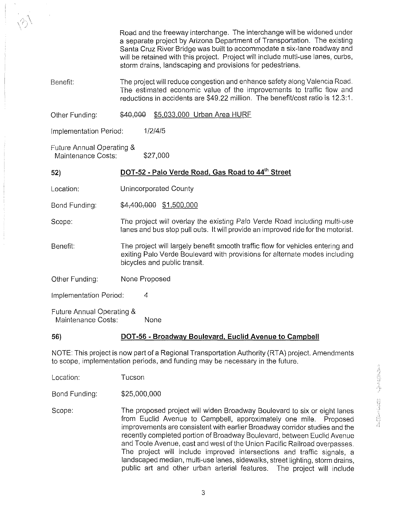Road and the freeway interchange. The interchange will be widened under a separate project by Arizona Department of Transportation. The existing Santa Cruz River Bridge was built to accommodate a six-lane roadway and will be retained with this project. Project will include multi-use lanes, curbs, storm drains, landscaping and provisions for pedestrians.

Benefit: The project will reduce congestion and enhance safety along Valencia Road. The estimated economic value of the improvements to traffic flow and reductions in accidents are \$49.22 million. The benefitlcost ratio is 12.3:l.

Other Funding: \$40,000 \$5,033,000 Urban Area HURF

Implementation Period: 1/2/4/5

Future Annual Operating & Maintenance Costs: \$27,000

**52) DOT-52** - **Palo Verde Road, Gas Road to 44'h Street** 

Location: Unincorporated County

Bond Funding: \$4,400,000 \$1,500,000

Scope: The project will overlay the existing Palo Verde Road including multi-use lanes and bus stop pull outs. It will provide an improved ride for the motorist.

Benefit: The project will largely benefit smooth traffic flow for vehicles entering and exiting Palo Verde Boulevard with provisions for alternate modes including bicycles and public transit.

Other Funding: None Proposed

Implementation Period: 4

Future Annual Operating *8*  Maintenance Costs: None

# **56) DOT-56** - **Broadway Boulevard, Euclid Avenue to Campbell**

NOTE: This project is now part of a Regional Transportation Authority (RTA) project. Amendments to scope, implementation periods, and funding may be necessary in the future.

Location: Tucson

Bond Funding: \$25,000,000

Scope: The proposed project will widen Broadway Boulevard to six or eight lanes from Euclid Avenue to Campbell, approximately one mile. Proposed improvements are consistent with earlier Broadway corridor studies and the recently completed portion of Broadway Boulevard, between Euclid Avenue and Toole Avenue, east and west of the Union Pacific Railroad overpasses. The project will include improved intersections and traffic signals, a landscaped median, multi-use lanes, sidewalks, street lighting, storm drains, public art and other urban arterial features. The project will include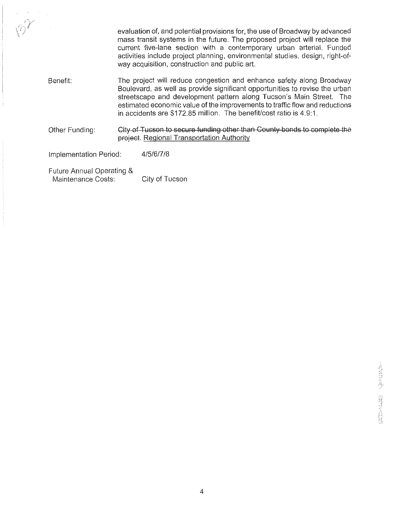evaluation of, and potential provisions for, the use of Broadway by advanced mass transit systems in the future. The proposed project will replace the current five-lane section with a contemporary urban arterial. Funded activities include project planning, environmental studies, design, right-ofway acquisition, construction and public art.

- Benefit: The project will reduce congestion and enhance safety along Broadway Boulevard, as well as provide significant opportunities to revise the urban streetscape and development pattern along Tucson's Main Street. The estimated economic value of the improvements to traffic flow and reductions in accidents are \$172.85 million. The benefit/cost ratio is 4.9:1. evaluation of, and potential provisions for, the use of Broadway by advanced<br>mass transit systems in the future. The proposed project will replace the<br>current five-lane section with a contemporary urban anterial. Funded<br>ac
- **City of Tucson to secure funding other than County bonds to complete the project. Regional Transportation Authority**

Implementation Period: 4/5/6/7/8

Future Annual Operating & Maintenance Costs: City of Tucson